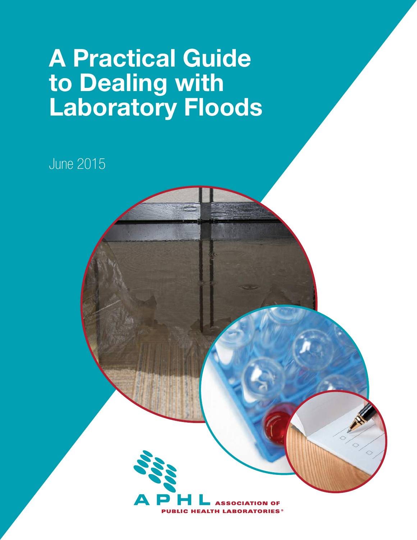# A Practical Guide to Dealing with Laboratory Floods

June 2015

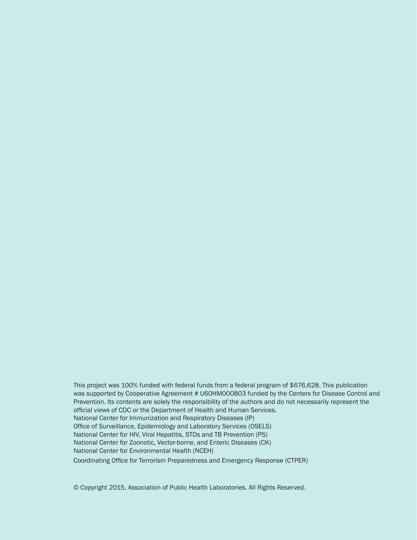This project was 100% funded with federal funds from a federal program of \$676,628. This publication was supported by Cooperative Agreement # U60HM000803 funded by the Centers for Disease Control and Prevention. Its contents are solely the responsibility of the authors and do not necessarily represent the official views of CDC or the Department of Health and Human Services. National Center for Immunization and Respiratory Diseases (IP) Office of Surveillance, Epidemiology and Laboratory Services (OSELS) National Center for HIV, Viral Hepatitis, STDs and TB Prevention (PS) National Center for Zoonotic, Vector-borne, and Enteric Diseases (CK) National Center for Environmental Health (NCEH) Coordinating Office for Terrorism Preparedness and Emergency Response (CTPER)

© Copyright 2015, Association of Public Health Laboratories. All Rights Reserved.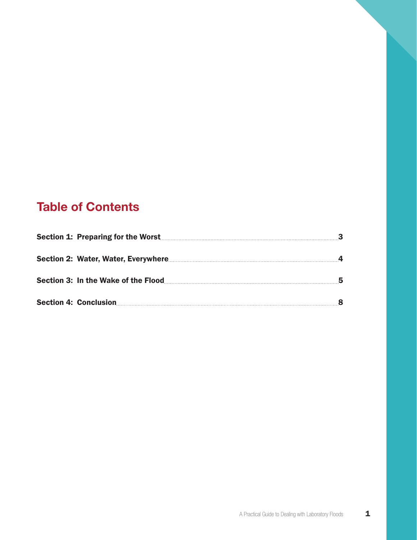# Table of Contents

| Section 1: Preparing for the Worst |  |
|------------------------------------|--|
|                                    |  |
|                                    |  |
| - 8                                |  |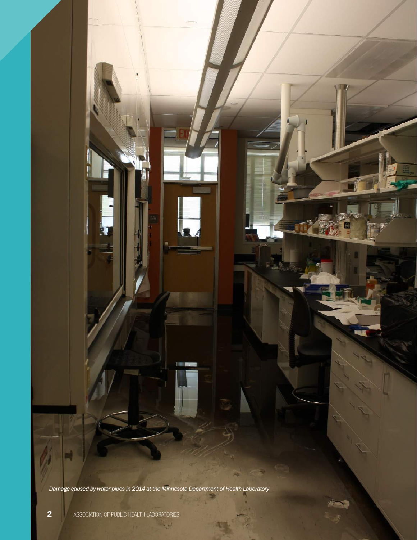*Damage caused by water pipes in 2014 at the Minnesota Department of Health Laboratory*

 $\mathbb{R}^d \times \mathbb{R}^d$ 

**FREE**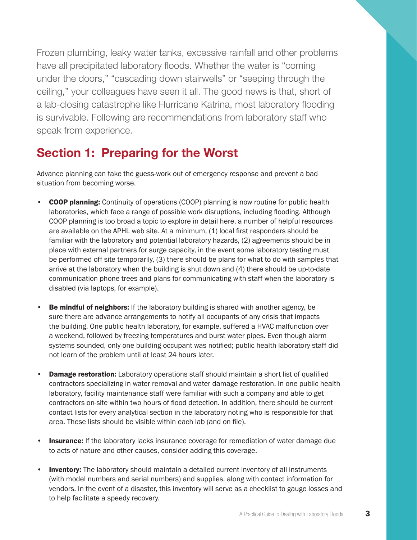<span id="page-4-0"></span>Frozen plumbing, leaky water tanks, excessive rainfall and other problems have all precipitated laboratory floods. Whether the water is "coming under the doors," "cascading down stairwells" or "seeping through the ceiling," your colleagues have seen it all. The good news is that, short of a lab-closing catastrophe like Hurricane Katrina, most laboratory flooding is survivable. Following are recommendations from laboratory staff who speak from experience.

## Section 1: Preparing for the Worst

Advance planning can take the guess-work out of emergency response and prevent a bad situation from becoming worse.

- COOP planning: Continuity of operations (COOP) planning is now routine for public health laboratories, which face a range of possible work disruptions, including flooding. Although COOP planning is too broad a topic to explore in detail here, a number of helpful resources are available on the APHL web site. At a minimum, (1) local first responders should be familiar with the laboratory and potential laboratory hazards, (2) agreements should be in place with external partners for surge capacity, in the event some laboratory testing must be performed off site temporarily, (3) there should be plans for what to do with samples that arrive at the laboratory when the building is shut down and (4) there should be up-to-date communication phone trees and plans for communicating with staff when the laboratory is disabled (via laptops, for example).
- **Be mindful of neighbors:** If the laboratory building is shared with another agency, be sure there are advance arrangements to notify all occupants of any crisis that impacts the building. One public health laboratory, for example, suffered a HVAC malfunction over a weekend, followed by freezing temperatures and burst water pipes. Even though alarm systems sounded, only one building occupant was notified; public health laboratory staff did not learn of the problem until at least 24 hours later.
- **Damage restoration:** Laboratory operations staff should maintain a short list of qualified contractors specializing in water removal and water damage restoration. In one public health laboratory, facility maintenance staff were familiar with such a company and able to get contractors on-site within two hours of flood detection. In addition, there should be current contact lists for every analytical section in the laboratory noting who is responsible for that area. These lists should be visible within each lab (and on file).
- **Insurance:** If the laboratory lacks insurance coverage for remediation of water damage due to acts of nature and other causes, consider adding this coverage.
- **Inventory:** The laboratory should maintain a detailed current inventory of all instruments (with model numbers and serial numbers) and supplies, along with contact information for vendors. In the event of a disaster, this inventory will serve as a checklist to gauge losses and to help facilitate a speedy recovery.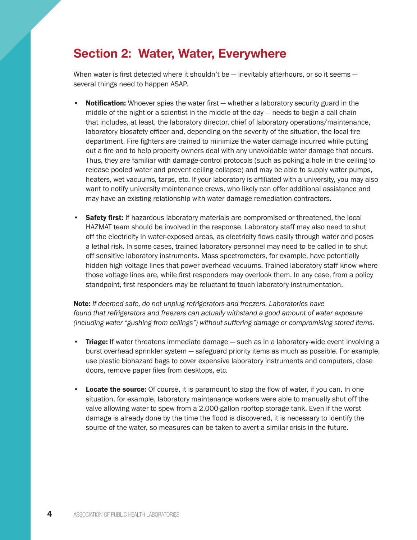## <span id="page-5-0"></span>Section 2: Water, Water, Everywhere

When water is first detected where it shouldn't be  $-$  inevitably afterhours, or so it seems  $$ several things need to happen ASAP.

- Notification: Whoever spies the water first whether a laboratory security guard in the middle of the night or a scientist in the middle of the day — needs to begin a call chain that includes, at least, the laboratory director, chief of laboratory operations/maintenance, laboratory biosafety officer and, depending on the severity of the situation, the local fire department. Fire fighters are trained to minimize the water damage incurred while putting out a fire and to help property owners deal with any unavoidable water damage that occurs. Thus, they are familiar with damage-control protocols (such as poking a hole in the ceiling to release pooled water and prevent ceiling collapse) and may be able to supply water pumps, heaters, wet vacuums, tarps, etc. If your laboratory is affiliated with a university, you may also want to notify university maintenance crews, who likely can offer additional assistance and may have an existing relationship with water damage remediation contractors.
- Safety first: If hazardous laboratory materials are compromised or threatened, the local HAZMAT team should be involved in the response. Laboratory staff may also need to shut off the electricity in water-exposed areas, as electricity flows easily through water and poses a lethal risk. In some cases, trained laboratory personnel may need to be called in to shut off sensitive laboratory instruments. Mass spectrometers, for example, have potentially hidden high voltage lines that power overhead vacuums. Trained laboratory staff know where those voltage lines are, while first responders may overlook them. In any case, from a policy standpoint, first responders may be reluctant to touch laboratory instrumentation.

Note: *If deemed safe, do not unplug refrigerators and freezers. Laboratories have found that refrigerators and freezers can actually withstand a good amount of water exposure (including water "gushing from ceilings") without suffering damage or compromising stored items.*

- Triage: If water threatens immediate damage such as in a laboratory-wide event involving a burst overhead sprinkler system — safeguard priority items as much as possible. For example, use plastic biohazard bags to cover expensive laboratory instruments and computers, close doors, remove paper files from desktops, etc.
- Locate the source: Of course, it is paramount to stop the flow of water, if you can. In one situation, for example, laboratory maintenance workers were able to manually shut off the valve allowing water to spew from a 2,000-gallon rooftop storage tank. Even if the worst damage is already done by the time the flood is discovered, it is necessary to identify the source of the water, so measures can be taken to avert a similar crisis in the future.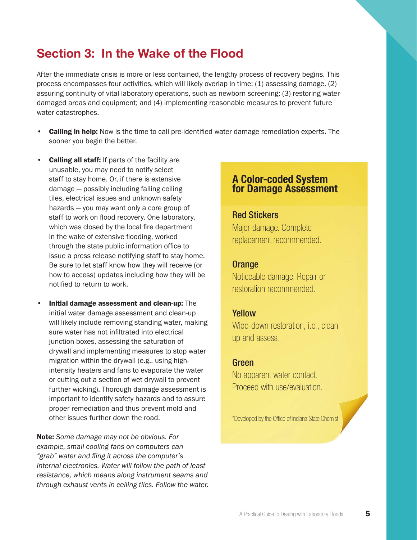# <span id="page-6-0"></span>Section 3: In the Wake of the Flood

After the immediate crisis is more or less contained, the lengthy process of recovery begins. This process encompasses four activities, which will likely overlap in time: (1) assessing damage, (2) assuring continuity of vital laboratory operations, such as newborn screening; (3) restoring waterdamaged areas and equipment; and (4) implementing reasonable measures to prevent future water catastrophes.

- **Calling in help:** Now is the time to call pre-identified water damage remediation experts. The sooner you begin the better.
- **Calling all staff:** If parts of the facility are unusable, you may need to notify select staff to stay home. Or, if there is extensive damage — possibly including falling ceiling tiles, electrical issues and unknown safety hazards — you may want only a core group of staff to work on flood recovery. One laboratory, which was closed by the local fire department in the wake of extensive flooding, worked through the state public information office to issue a press release notifying staff to stay home. Be sure to let staff know how they will receive (or how to access) updates including how they will be notified to return to work.
- Initial damage assessment and clean-up: The initial water damage assessment and clean-up will likely include removing standing water, making sure water has not infiltrated into electrical junction boxes, assessing the saturation of drywall and implementing measures to stop water migration within the drywall (e.g., using highintensity heaters and fans to evaporate the water or cutting out a section of wet drywall to prevent further wicking). Thorough damage assessment is important to identify safety hazards and to assure proper remediation and thus prevent mold and other issues further down the road.

Note: *Some damage may not be obvious. For example, small cooling fans on computers can "grab" water and fling it across the computer's internal electronics. Water will follow the path of least resistance, which means along instrument seams and through exhaust vents in ceiling tiles. Follow the water.*

## A Color-coded System for Damage Assessment

## Red Stickers Major damage. Complete replacement recommended.

#### **Orange**

Noticeable damage. Repair or restoration recommended.

### Yellow

Wipe-down restoration, i.e., clean up and assess.

### Green

No apparent water contact. Proceed with use/evaluation.

\*Developed by the Office of Indiana State Chemist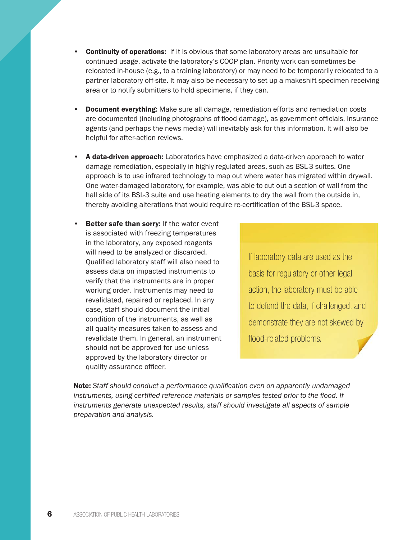- Continuity of operations: If it is obvious that some laboratory areas are unsuitable for continued usage, activate the laboratory's COOP plan. Priority work can sometimes be relocated in-house (e.g., to a training laboratory) or may need to be temporarily relocated to a partner laboratory off-site. It may also be necessary to set up a makeshift specimen receiving area or to notify submitters to hold specimens, if they can.
- **Document everything:** Make sure all damage, remediation efforts and remediation costs are documented (including photographs of flood damage), as government officials, insurance agents (and perhaps the news media) will inevitably ask for this information. It will also be helpful for after-action reviews.
- A data-driven approach: Laboratories have emphasized a data-driven approach to water damage remediation, especially in highly regulated areas, such as BSL-3 suites. One approach is to use infrared technology to map out where water has migrated within drywall. One water-damaged laboratory, for example, was able to cut out a section of wall from the hall side of its BSL-3 suite and use heating elements to dry the wall from the outside in, thereby avoiding alterations that would require re-certification of the BSL-3 space.
- Better safe than sorry: If the water event is associated with freezing temperatures in the laboratory, any exposed reagents will need to be analyzed or discarded. Qualified laboratory staff will also need to assess data on impacted instruments to verify that the instruments are in proper working order. Instruments may need to revalidated, repaired or replaced. In any case, staff should document the initial condition of the instruments, as well as all quality measures taken to assess and revalidate them. In general, an instrument should not be approved for use unless approved by the laboratory director or quality assurance officer.

If laboratory data are used as the basis for regulatory or other legal action, the laboratory must be able to defend the data, if challenged, and demonstrate they are not skewed by flood-related problems.

Note: *Staff should conduct a performance qualification even on apparently undamaged instruments, using certified reference materials or samples tested prior to the flood. If instruments generate unexpected results, staff should investigate all aspects of sample preparation and analysis.*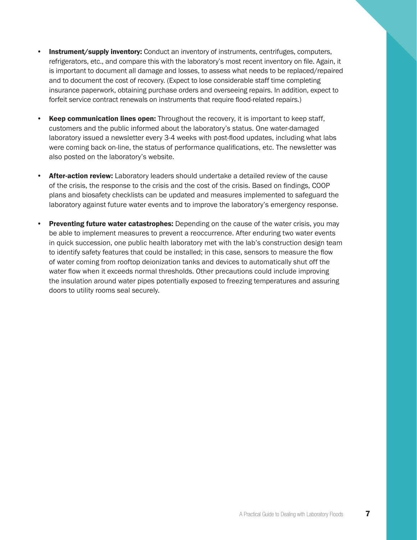- **Instrument/supply inventory:** Conduct an inventory of instruments, centrifuges, computers, refrigerators, etc., and compare this with the laboratory's most recent inventory on file. Again, it is important to document all damage and losses, to assess what needs to be replaced/repaired and to document the cost of recovery. (Expect to lose considerable staff time completing insurance paperwork, obtaining purchase orders and overseeing repairs. In addition, expect to forfeit service contract renewals on instruments that require flood-related repairs.)
- **Keep communication lines open:** Throughout the recovery, it is important to keep staff, customers and the public informed about the laboratory's status. One water-damaged laboratory issued a newsletter every 3-4 weeks with post-flood updates, including what labs were coming back on-line, the status of performance qualifications, etc. The newsletter was also posted on the laboratory's website.
- **After-action review:** Laboratory leaders should undertake a detailed review of the cause of the crisis, the response to the crisis and the cost of the crisis. Based on findings, COOP plans and biosafety checklists can be updated and measures implemented to safeguard the laboratory against future water events and to improve the laboratory's emergency response.
- **Preventing future water catastrophes:** Depending on the cause of the water crisis, you may be able to implement measures to prevent a reoccurrence. After enduring two water events in quick succession, one public health laboratory met with the lab's construction design team to identify safety features that could be installed; in this case, sensors to measure the flow of water coming from rooftop deionization tanks and devices to automatically shut off the water flow when it exceeds normal thresholds. Other precautions could include improving the insulation around water pipes potentially exposed to freezing temperatures and assuring doors to utility rooms seal securely.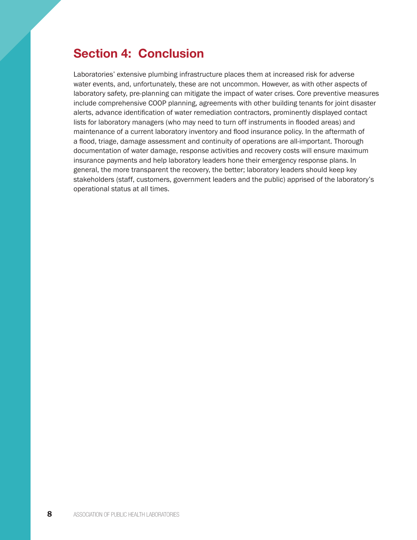## <span id="page-9-0"></span>Section 4: Conclusion

Laboratories' extensive plumbing infrastructure places them at increased risk for adverse water events, and, unfortunately, these are not uncommon. However, as with other aspects of laboratory safety, pre-planning can mitigate the impact of water crises. Core preventive measures include comprehensive COOP planning, agreements with other building tenants for joint disaster alerts, advance identification of water remediation contractors, prominently displayed contact lists for laboratory managers (who may need to turn off instruments in flooded areas) and maintenance of a current laboratory inventory and flood insurance policy. In the aftermath of a flood, triage, damage assessment and continuity of operations are all-important. Thorough documentation of water damage, response activities and recovery costs will ensure maximum insurance payments and help laboratory leaders hone their emergency response plans. In general, the more transparent the recovery, the better; laboratory leaders should keep key stakeholders (staff, customers, government leaders and the public) apprised of the laboratory's operational status at all times.